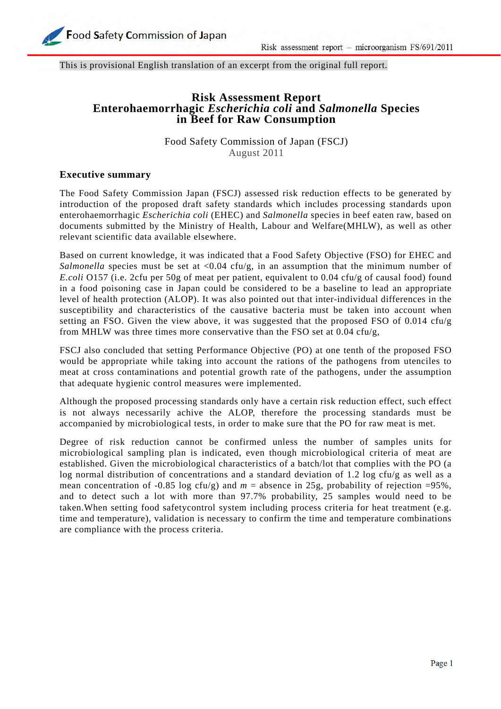

This is provisional English translation of an excerpt from the original full report.

# **Risk Assessment Report Enterohaemorrhagic** *Escherichia coli* **and** *Salmonella* **Species in Beef for Raw Consumption**

Food Safety Commission of Japan (FSCJ) August 2011

### **Executive summary**

The Food Safety Commission Japan (FSCJ) assessed risk reduction effects to be generated by introduction of the proposed draft safety standards which includes processing standards upon enterohaemorrhagic *Escherichia coli* (EHEC) and *Salmonella* species in beef eaten raw, based on documents submitted by the Ministry of Health, Labour and Welfare(MHLW), as well as other relevant scientific data available elsewhere.

Based on current knowledge, it was indicated that a Food Safety Objective (FSO) for EHEC and *Salmonella* species must be set at  $\langle 0.04 \text{ cfu/g}, \text{ in an assumption that the minimum number of } \rangle$ *E.coli* O157 (i.e. 2cfu per 50g of meat per patient, equivalent to 0.04 cfu/g of causal food) found in a food poisoning case in Japan could be considered to be a baseline to lead an appropriate level of health protection (ALOP). It was also pointed out that inter-individual differences in the susceptibility and characteristics of the causative bacteria must be taken into account when setting an FSO. Given the view above, it was suggested that the proposed FSO of 0.014 cfu/g from MHLW was three times more conservative than the FSO set at 0.04 cfu/g,

FSCJ also concluded that setting Performance Objective (PO) at one tenth of the proposed FSO would be appropriate while taking into account the rations of the pathogens from utenciles to meat at cross contaminations and potential growth rate of the pathogens, under the assumption that adequate hygienic control measures were implemented.

Although the proposed processing standards only have a certain risk reduction effect, such effect is not always necessarily achive the ALOP, therefore the processing standards must be accompanied by microbiological tests, in order to make sure that the PO for raw meat is met.

Degree of risk reduction cannot be confirmed unless the number of samples units for microbiological sampling plan is indicated, even though microbiological criteria of meat are established. Given the microbiological characteristics of a batch/lot that complies with the PO (a log normal distribution of concentrations and a standard deviation of 1.2 log cfu/g as well as a mean concentration of -0.85 log cfu/g) and  $m =$  absence in 25g, probability of rejection =95%, and to detect such a lot with more than 97.7% probability, 25 samples would need to be taken.When setting food safetycontrol system including process criteria for heat treatment (e.g. time and temperature), validation is necessary to confirm the time and temperature combinations are compliance with the process criteria.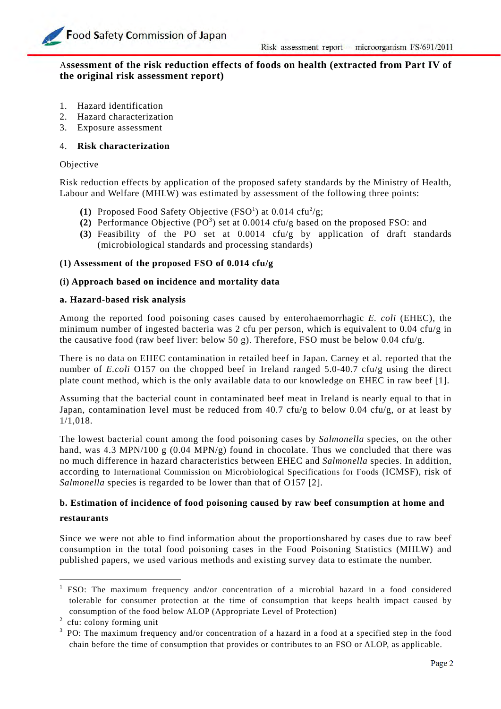# A**ssessment of the risk reduction effects of foods on health (extracted from Part IV of the original risk assessment report)**

- 1. Hazard identification
- 2. Hazard characterization
- 3. Exposure assessment

## 4. **Risk characterization**

### Objective

Risk reduction effects by application of the proposed safety standards by the Ministry of Health, Labour and Welfare (MHLW) was estimated by assessment of the following three points:

- (1) Proposed Food Safety Objective  $(FSO<sup>1</sup>)$  at 0.014 cfu<sup>2</sup>/g;
- (2) Performance Objective  $(PO<sup>3</sup>)$  set at 0.0014 cfu/g based on the proposed FSO: and
- **(3)** Feasibility of the PO set at 0.0014 cfu/g by application of draft standards (microbiological standards and processing standards)

# **(1) Assessment of the proposed FSO of 0.014 cfu/g**

# **(i) Approach based on incidence and mortality data**

### **a. Hazard-based risk analysis**

Among the reported food poisoning cases caused by enterohaemorrhagic *E. coli* (EHEC), the minimum number of ingested bacteria was 2 cfu per person, which is equivalent to 0.04 cfu/g in the causative food (raw beef liver: below 50 g). Therefore, FSO must be below 0.04 cfu/g.

There is no data on EHEC contamination in retailed beef in Japan. Carney et al. reported that the number of *E.coli* O157 on the chopped beef in Ireland ranged 5.0-40.7 cfu/g using the direct plate count method, which is the only available data to our knowledge on EHEC in raw beef [1].

Assuming that the bacterial count in contaminated beef meat in Ireland is nearly equal to that in Japan, contamination level must be reduced from 40.7 cfu/g to below 0.04 cfu/g, or at least by 1/1,018.

The lowest bacterial count among the food poisoning cases by *Salmonella* species, on the other hand, was 4.3 MPN/100 g (0.04 MPN/g) found in chocolate. Thus we concluded that there was no much difference in hazard characteristics between EHEC and *Salmonella* species. In addition, according to International Commission on Microbiological Specifications for Foods (ICMSF), risk of *Salmonella* species is regarded to be lower than that of O157 [2].

# **b. Estimation of incidence of food poisoning caused by raw beef consumption at home and restaurants**

Since we were not able to find information about the proportionshared by cases due to raw beef consumption in the total food poisoning cases in the Food Poisoning Statistics (MHLW) and published papers, we used various methods and existing survey data to estimate the number.

-

<sup>&</sup>lt;sup>1</sup> FSO: The maximum frequency and/or concentration of a microbial hazard in a food considered tolerable for consumer protection at the time of consumption that keeps health impact caused by consumption of the food below ALOP (Appropriate Level of Protection)<br><sup>2</sup> cfu: colony forming unit

cfu: colony forming unit

 $3$  PO: The maximum frequency and/or concentration of a hazard in a food at a specified step in the food chain before the time of consumption that provides or contributes to an FSO or ALOP, as applicable.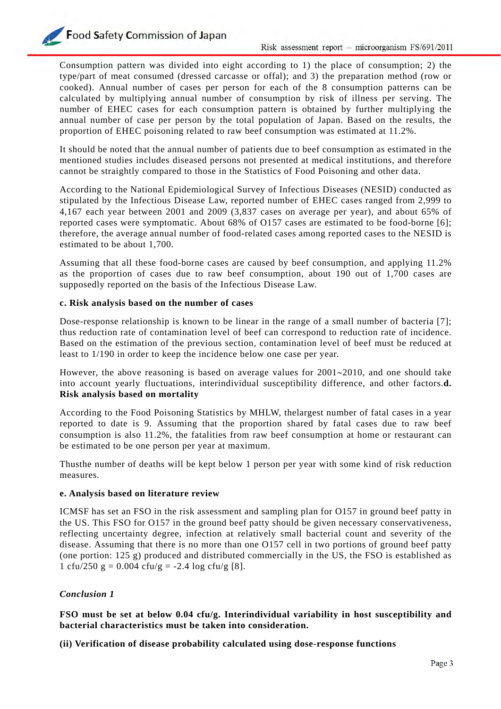Consumption pattern was divided into eight according to 1) the place of consumption; 2) the type/part of meat consumed (dressed carcasse or offal); and 3) the preparation method (row or cooked). Annual number of cases per person for each of the 8 consumption patterns can be calculated by multiplying annual number of consumption by risk of illness per serving. The number of EHEC cases for each consumption pattern is obtained by further multiplying the annual number of case per person by the total population of Japan. Based on the results, the proportion of EHEC poisoning related to raw beef consumption was estimated at 11.2%.

It should be noted that the annual number of patients due to beef consumption as estimated in the mentioned studies includes diseased persons not presented at medical institutions, and therefore cannot be straightly compared to those in the Statistics of Food Poisoning and other data.

According to the National Epidemiological Survey of Infectious Diseases (NESID) conducted as stipulated by the Infectious Disease Law, reported number of EHEC cases ranged from 2,999 to 4,167 each year between 2001 and 2009 (3,837 cases on average per year), and about 65% of reported cases were symptomatic. About 68% of O157 cases are estimated to be food-borne [6]; therefore, the average annual number of food-related cases among reported cases to the NESID is estimated to be about 1,700.

Assuming that all these food-borne cases are caused by beef consumption, and applying 11.2% as the proportion of cases due to raw beef consumption, about 190 out of 1,700 cases are supposedly reported on the basis of the Infectious Disease Law.

### **c. Risk analysis based on the number of cases**

Dose-response relationship is known to be linear in the range of a small number of bacteria [7]; thus reduction rate of contamination level of beef can correspond to reduction rate of incidence. Based on the estimation of the previous section, contamination level of beef must be reduced at least to 1/190 in order to keep the incidence below one case per year.

However, the above reasoning is based on average values for  $2001~2010$ , and one should take into account yearly fluctuations, interindividual susceptibility difference, and other factors.**d. Risk analysis based on mortality** 

According to the Food Poisoning Statistics by MHLW, thelargest number of fatal cases in a year reported to date is 9. Assuming that the proportion shared by fatal cases due to raw beef consumption is also 11.2%, the fatalities from raw beef consumption at home or restaurant can be estimated to be one person per year at maximum.

Thusthe number of deaths will be kept below 1 person per year with some kind of risk reduction measures.

### **e. Analysis based on literature review**

ICMSF has set an FSO in the risk assessment and sampling plan for O157 in ground beef patty in the US. This FSO for O157 in the ground beef patty should be given necessary conservativeness, reflecting uncertainty degree, infection at relatively small bacterial count and severity of the disease. Assuming that there is no more than one O157 cell in two portions of ground beef patty (one portion: 125 g) produced and distributed commercially in the US, the FSO is established as 1 cfu/250 g = 0.004 cfu/g = -2.4 log cfu/g [8].

# *Conclusion 1*

**FSO must be set at below 0.04 cfu/g. Interindividual variability in host susceptibility and bacterial characteristics must be taken into consideration.**

**(ii) Verification of disease probability calculated using dose-response functions**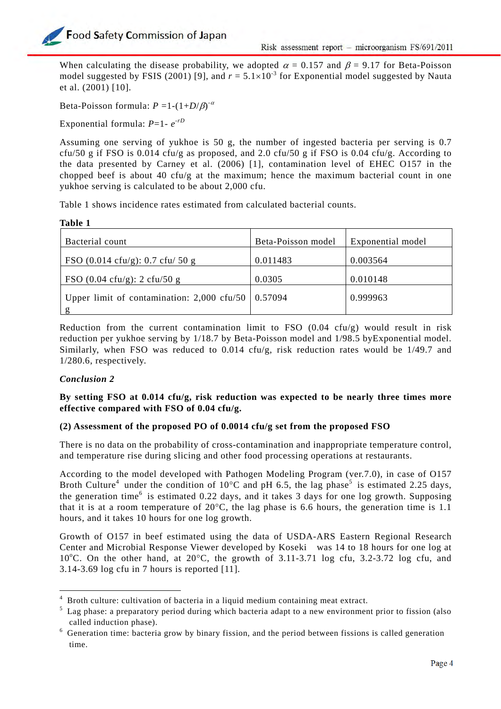When calculating the disease probability, we adopted  $\alpha = 0.157$  and  $\beta = 9.17$  for Beta-Poisson model suggested by FSIS (2001) [9], and  $r = 5.1 \times 10^{-3}$  for Exponential model suggested by Nauta et al. (2001) [10].

Beta-Poisson formula:  $P = 1 - (1 + D/\beta)^{-\alpha}$ 

Exponential formula: *P*=1- *e*-*rD*

Assuming one serving of yukhoe is 50 g, the number of ingested bacteria per serving is 0.7 cfu/50 g if FSO is 0.014 cfu/g as proposed, and 2.0 cfu/50 g if FSO is 0.04 cfu/g. According to the data presented by Carney et al. (2006) [1], contamination level of EHEC O157 in the chopped beef is about 40 cfu/g at the maximum; hence the maximum bacterial count in one yukhoe serving is calculated to be about 2,000 cfu.

Table 1 shows incidence rates estimated from calculated bacterial counts.

| Bacterial count                                        | Beta-Poisson model | Exponential model |
|--------------------------------------------------------|--------------------|-------------------|
| FSO $(0.014 \text{ cftu/g})$ : 0.7 cfu/ 50 g           | 0.011483           | 0.003564          |
| FSO $(0.04 \text{ cftu/g})$ : 2 cfu/50 g               | 0.0305             | 0.010148          |
| Upper limit of contamination: $2,000$ cfu/50   0.57094 |                    | 0.999963          |
|                                                        |                    |                   |

Reduction from the current contamination limit to FSO  $(0.04 \text{ cfu/g})$  would result in risk reduction per yukhoe serving by 1/18.7 by Beta-Poisson model and 1/98.5 byExponential model. Similarly, when FSO was reduced to  $0.014$  cfu/g, risk reduction rates would be 1/49.7 and 1/280.6, respectively.

# *Conclusion 2*

1

# **By setting FSO at 0.014 cfu/g, risk reduction was expected to be nearly three times more effective compared with FSO of 0.04 cfu/g.**

### **(2) Assessment of the proposed PO of 0.0014 cfu/g set from the proposed FSO**

There is no data on the probability of cross-contamination and inappropriate temperature control, and temperature rise during slicing and other food processing operations at restaurants.

According to the model developed with Pathogen Modeling Program (ver.7.0), in case of O157 Broth Culture<sup>4</sup> under the condition of 10<sup>o</sup>C and pH 6.5, the lag phase<sup>5</sup> is estimated 2.25 days, the generation time<sup>6</sup> is estimated 0.22 days, and it takes 3 days for one log growth. Supposing that it is at a room temperature of  $20^{\circ}$ C, the lag phase is 6.6 hours, the generation time is 1.1 hours, and it takes 10 hours for one log growth.

Growth of O157 in beef estimated using the data of USDA-ARS Eastern Regional Research Center and Microbial Response Viewer developed by Koseki was 14 to 18 hours for one log at 10°C. On the other hand, at  $20^{\circ}$ C, the growth of 3.11-3.71 log cfu, 3.2-3.72 log cfu, and 3.14-3.69 log cfu in 7 hours is reported [11].

<sup>&</sup>lt;sup>4</sup> Broth culture: cultivation of bacteria in a liquid medium containing meat extract.

<sup>&</sup>lt;sup>5</sup> Lag phase: a preparatory period during which bacteria adapt to a new environment prior to fission (also called induction phase).

 $6\,$  Generation time: bacteria grow by binary fission, and the period between fissions is called generation time.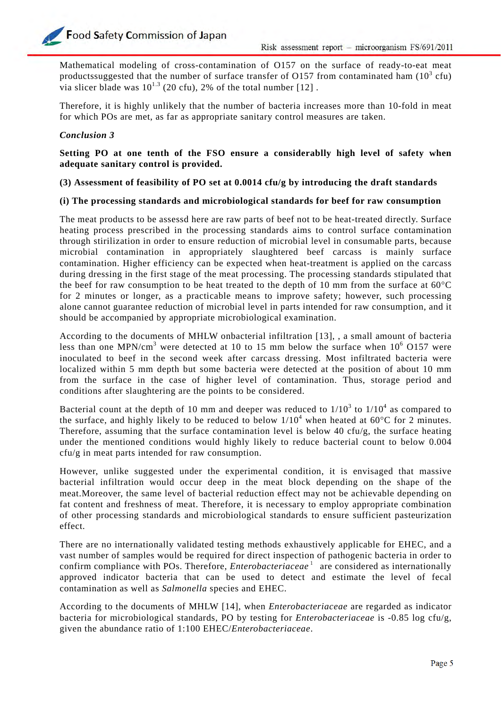Mathematical modeling of cross-contamination of O157 on the surface of ready-to-eat meat productssuggested that the number of surface transfer of O157 from contaminated ham  $(10^3 \text{ cfu})$ via slicer blade was  $10^{1.3}$  (20 cfu), 2% of the total number [12].

Therefore, it is highly unlikely that the number of bacteria increases more than 10-fold in meat for which POs are met, as far as appropriate sanitary control measures are taken.

# *Conclusion 3*

**Setting PO at one tenth of the FSO ensure a considerablly high level of safety when adequate sanitary control is provided.** 

**(3) Assessment of feasibility of PO set at 0.0014 cfu/g by introducing the draft standards** 

### **(i) The processing standards and microbiological standards for beef for raw consumption**

The meat products to be assessd here are raw parts of beef not to be heat-treated directly. Surface heating process prescribed in the processing standards aims to control surface contamination through stirilization in order to ensure reduction of microbial level in consumable parts, because microbial contamination in appropriately slaughtered beef carcass is mainly surface contamination. Higher efficiency can be expected when heat-treatment is applied on the carcass during dressing in the first stage of the meat processing. The processing standards stipulated that the beef for raw consumption to be heat treated to the depth of 10 mm from the surface at  $60^{\circ}$ C for 2 minutes or longer, as a practicable means to improve safety; however, such processing alone cannot guarantee reduction of microbial level in parts intended for raw consumption, and it should be accompanied by appropriate microbiological examination.

According to the documents of MHLW onbacterial infiltration [13], , a small amount of bacteria less than one MPN/cm<sup>3</sup> were detected at 10 to 15 mm below the surface when  $10^6$  O157 were inoculated to beef in the second week after carcass dressing. Most infiltrated bacteria were localized within 5 mm depth but some bacteria were detected at the position of about 10 mm from the surface in the case of higher level of contamination. Thus, storage period and conditions after slaughtering are the points to be considered.

Bacterial count at the depth of 10 mm and deeper was reduced to  $1/10^3$  to  $1/10^4$  as compared to the surface, and highly likely to be reduced to below  $1/10^4$  when heated at 60°C for 2 minutes. Therefore, assuming that the surface contamination level is below 40 cfu/g, the surface heating under the mentioned conditions would highly likely to reduce bacterial count to below 0.004 cfu/g in meat parts intended for raw consumption.

However, unlike suggested under the experimental condition, it is envisaged that massive bacterial infiltration would occur deep in the meat block depending on the shape of the meat.Moreover, the same level of bacterial reduction effect may not be achievable depending on fat content and freshness of meat. Therefore, it is necessary to employ appropriate combination of other processing standards and microbiological standards to ensure sufficient pasteurization effect.

There are no internationally validated testing methods exhaustively applicable for EHEC, and a vast number of samples would be required for direct inspection of pathogenic bacteria in order to confirm compliance with POs. Therefore, *Enterobacteriaceae*<sup>1</sup> are considered as internationally approved indicator bacteria that can be used to detect and estimate the level of fecal contamination as well as *Salmonella* species and EHEC.

According to the documents of MHLW [14], when *Enterobacteriaceae* are regarded as indicator bacteria for microbiological standards, PO by testing for *Enterobacteriaceae* is -0.85 log cfu/g, given the abundance ratio of 1:100 EHEC/*Enterobacteriaceae*.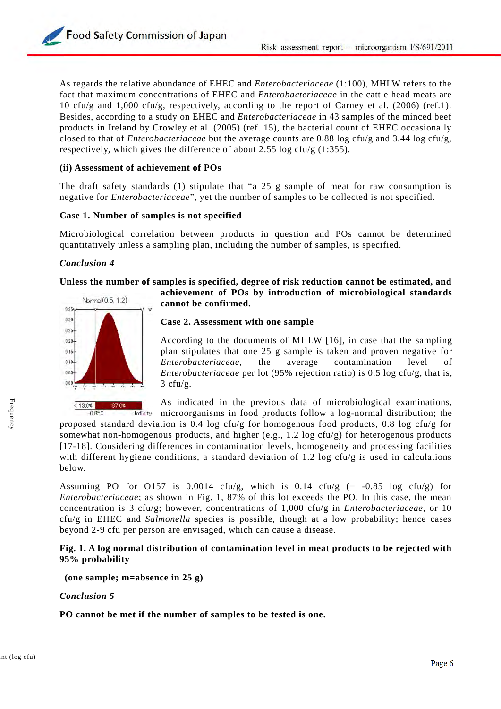Food Safety Commission of Japan

As regards the relative abundance of EHEC and *Enterobacteriaceae* (1:100), MHLW refers to the fact that maximum concentrations of EHEC and *Enterobacteriaceae* in the cattle head meats are 10 cfu/g and 1,000 cfu/g, respectively, according to the report of Carney et al. (2006) (ref.1). Besides, according to a study on EHEC and *Enterobacteriaceae* in 43 samples of the minced beef products in Ireland by Crowley et al. (2005) (ref. 15), the bacterial count of EHEC occasionally closed to that of *Enterobacteriaceae* but the average counts are 0.88 log cfu/g and 3.44 log cfu/g, respectively, which gives the difference of about 2.55 log cfu/g (1:355).

#### **(ii) Assessment of achievement of POs**

The draft safety standards (1) stipulate that "a 25 g sample of meat for raw consumption is negative for *Enterobacteriaceae*", yet the number of samples to be collected is not specified.

#### **Case 1. Number of samples is not specified**

Microbiological correlation between products in question and POs cannot be determined quantitatively unless a sampling plan, including the number of samples, is specified.

#### *Conclusion 4*

# **Unless the number of samples is specified, degree of risk reduction cannot be estimated, and**



 $< 13.0%$ 87.0% +Infinity **achievement of POs by introduction of microbiological standards cannot be confirmed.** 

#### **Case 2. Assessment with one sample**

According to the documents of MHLW [16], in case that the sampling plan stipulates that one 25 g sample is taken and proven negative for *Enterobacteriaceae*, the average contamination level of *Enterobacteriaceae* per lot (95% rejection ratio) is 0.5 log cfu/g, that is,  $3 \text{ c}$ fu/g.

As indicated in the previous data of microbiological examinations, microorganisms in food products follow a log-normal distribution; the

proposed standard deviation is 0.4 log cfu/g for homogenous food products, 0.8 log cfu/g for somewhat non-homogenous products, and higher (e.g., 1.2 log cfu/g) for heterogenous products [17-18]. Considering differences in contamination levels, homogeneity and processing facilities with different hygiene conditions, a standard deviation of 1.2 log cfu/g is used in calculations below.

Assuming PO for O157 is  $0.0014$  cfu/g, which is  $0.14$  cfu/g (= -0.85 log cfu/g) for *Enterobacteriaceae*; as shown in Fig. 1, 87% of this lot exceeds the PO. In this case, the mean concentration is 3 cfu/g; however, concentrations of 1,000 cfu/g in *Enterobacteriaceae*, or 10 cfu/g in EHEC and *Salmonella* species is possible, though at a low probability; hence cases beyond 2-9 cfu per person are envisaged, which can cause a disease.

### **Fig. 1. A log normal distribution of contamination level in meat products to be rejected with 95% probability**

 **(one sample; m=absence in 25 g)** 

#### *Conclusion 5*

**PO cannot be met if the number of samples to be tested is one.**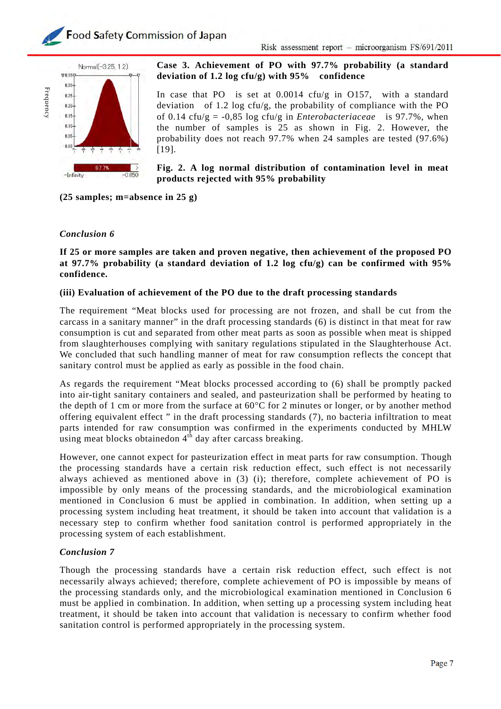



# **Case 3. Achievement of PO with 97.7% probability (a standard deviation of 1.2 log cfu/g) with 95% confidence**

In case that PO is set at 0.0014 cfu/g in O157, with a standard deviation of 1.2 log cfu/g, the probability of compliance with the PO of 0.14 cfu/g = -0,85 log cfu/g in *Enterobacteriaceae* is 97.7%, when the number of samples is 25 as shown in Fig. 2. However, the probability does not reach 97.7% when 24 samples are tested (97.6%) [19].

### **Fig. 2. A log normal distribution of contamination level in meat products rejected with 95% probability**

**(25 samples; m=absence in 25 g)** 

# *Conclusion 6*

**If 25 or more samples are taken and proven negative, then achievement of the proposed PO at 97.7% probability (a standard deviation of 1.2 log cfu/g) can be confirmed with 95% confidence.** 

### **(iii) Evaluation of achievement of the PO due to the draft processing standards**

The requirement "Meat blocks used for processing are not frozen, and shall be cut from the carcass in a sanitary manner" in the draft processing standards (6) is distinct in that meat for raw consumption is cut and separated from other meat parts as soon as possible when meat is shipped from slaughterhouses complying with sanitary regulations stipulated in the Slaughterhouse Act. We concluded that such handling manner of meat for raw consumption reflects the concept that sanitary control must be applied as early as possible in the food chain.

As regards the requirement "Meat blocks processed according to (6) shall be promptly packed into air-tight sanitary containers and sealed, and pasteurization shall be performed by heating to the depth of 1 cm or more from the surface at  $60^{\circ}$ C for 2 minutes or longer, or by another method offering equivalent effect " in the draft processing standards (7), no bacteria infiltration to meat parts intended for raw consumption was confirmed in the experiments conducted by MHLW using meat blocks obtainedon  $4<sup>th</sup>$  day after carcass breaking.

However, one cannot expect for pasteurization effect in meat parts for raw consumption. Though the processing standards have a certain risk reduction effect, such effect is not necessarily always achieved as mentioned above in (3) (i); therefore, complete achievement of PO is impossible by only means of the processing standards, and the microbiological examination mentioned in Conclusion 6 must be applied in combination. In addition, when setting up a processing system including heat treatment, it should be taken into account that validation is a necessary step to confirm whether food sanitation control is performed appropriately in the processing system of each establishment.

## *Conclusion 7*

Though the processing standards have a certain risk reduction effect, such effect is not necessarily always achieved; therefore, complete achievement of PO is impossible by means of the processing standards only, and the microbiological examination mentioned in Conclusion 6 must be applied in combination. In addition, when setting up a processing system including heat treatment, it should be taken into account that validation is necessary to confirm whether food sanitation control is performed appropriately in the processing system.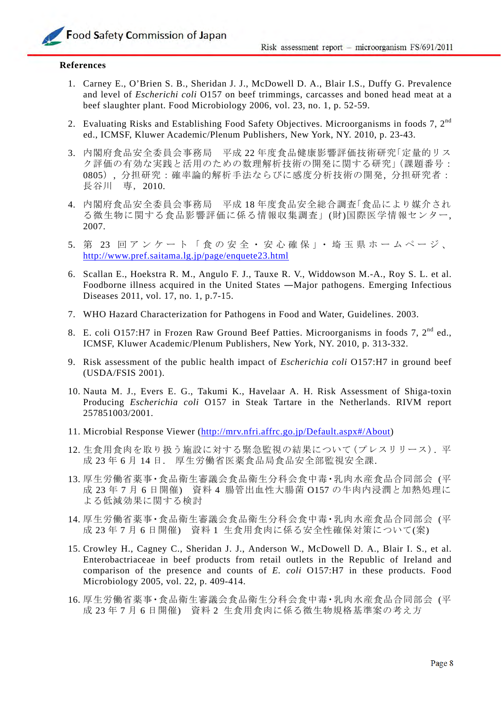#### **References**

- 1. Carney E., O'Brien S. B., Sheridan J. J., McDowell D. A., Blair I.S., Duffy G. Prevalence and level of *Escherichi coli* O157 on beef trimmings, carcasses and boned head meat at a beef slaughter plant. Food Microbiology 2006, vol. 23, no. 1, p. 52-59.
- 2. Evaluating Risks and Establishing Food Safety Objectives. Microorganisms in foods 7,  $2^{nd}$ ed., ICMSF, Kluwer Academic/Plenum Publishers, New York, NY. 2010, p. 23-43.
- 3. 内閣府食品安全委員会事務局 平成 22 年度食品健康影響評価技術研究「定量的リス ク評価の有効な実践と活用のための数理解析技術の開発に関する研究」(課題番号: 0805), 分担研究:確率論的解析手法ならびに感度分析技術の開発, 分担研究者: 長谷川 専,2010.
- 4. 内閣府食品安全委員会事務局 平成 18 年度食品安全総合調査「食品により媒介され る微生物に関する食品影響評価に係る情報収集調査」(財)国際医学情報センター, 2007.
- 5. 第 23 回アンケート「食の安全・安心確保」・埼玉県ホームページ、 http://www.pref.saitama.lg.jp/page/enquete23.html
- 6. Scallan E., Hoekstra R. M., Angulo F. J., Tauxe R. V., Widdowson M.-A., Roy S. L. et al. Foodborne illness acquired in the United States ―Major pathogens. Emerging Infectious Diseases 2011, vol. 17, no. 1, p.7-15.
- 7. WHO Hazard Characterization for Pathogens in Food and Water, Guidelines. 2003.
- 8. E. coli O157:H7 in Frozen Raw Ground Beef Patties. Microorganisms in foods 7,  $2^{nd}$  ed., ICMSF, Kluwer Academic/Plenum Publishers, New York, NY. 2010, p. 313-332.
- 9. Risk assessment of the public health impact of *Escherichia coli* O157:H7 in ground beef (USDA/FSIS 2001).
- 10. Nauta M. J., Evers E. G., Takumi K., Havelaar A. H. Risk Assessment of Shiga-toxin Producing *Escherichia coli* O157 in Steak Tartare in the Netherlands. RIVM report 257851003/2001.
- 11. Microbial Response Viewer (http://mrv.nfri.affrc.go.jp/Default.aspx#/About)
- 12. 生食用食肉を取り扱う施設に対する緊急監視の結果について(プレスリリース). 平 成 23 年 6 月 14 日. 厚生労働省医薬食品局食品安全部監視安全課.
- 13. 厚生労働省薬事・食品衛生審議会食品衛生分科会食中毒・乳肉水産食品合同部会 (平 成 23 年 7 月 6 日開催) 資料 4 腸管出血性大腸菌 O157 の牛肉内浸潤と加熱処理に よる低減効果に関する検討
- 14. 厚生労働省薬事・食品衛生審議会食品衛生分科会食中毒・乳肉水産食品合同部会 (平 成 23年7月6日開催) 資料1 生食用食肉に係る安全性確保対策について(案)
- 15. Crowley H., Cagney C., Sheridan J. J., Anderson W., McDowell D. A., Blair I. S., et al. Enterobactriaceae in beef products from retail outlets in the Republic of Ireland and comparison of the presence and counts of *E. coli* O157:H7 in these products. Food Microbiology 2005, vol. 22, p. 409-414.
- 16. 厚生労働省薬事・食品衛生審議会食品衛生分科会食中毒・乳肉水産食品合同部会 (平 成 23 年 7 月 6 日開催) 資料 2 生食用食肉に係る微生物規格基準案の考え方